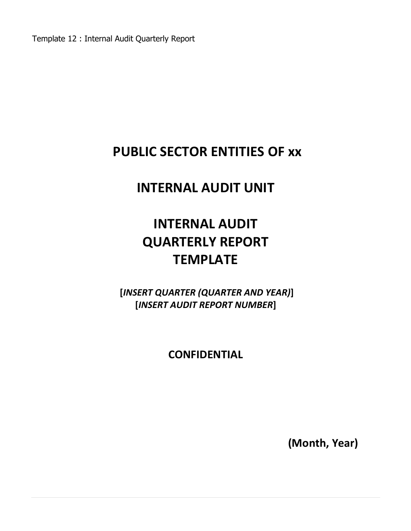Template 12 : Internal Audit Quarterly Report

# **PUBLIC SECTOR ENTITIES OF xx**

# **INTERNAL AUDIT UNIT**

# **INTERNAL AUDIT QUARTERLY REPORT TEMPLATE**

**[***INSERT QUARTER (QUARTER AND YEAR)***] [***INSERT AUDIT REPORT NUMBER***]**

**CONFIDENTIAL**

**(Month, Year)**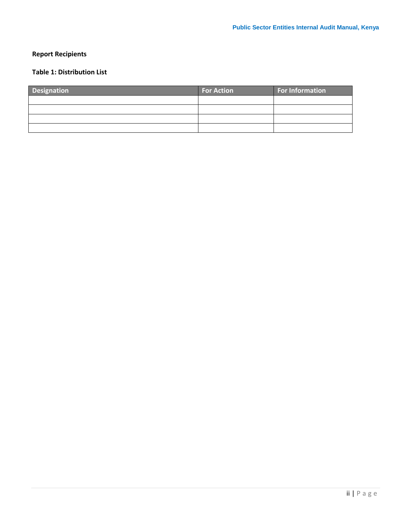## <span id="page-1-0"></span>**Report Recipients**

## <span id="page-1-1"></span>**Table 1: Distribution List**

| <b>Designation</b> | <b>For Action</b> | <b>For Information</b> |
|--------------------|-------------------|------------------------|
|                    |                   |                        |
|                    |                   |                        |
|                    |                   |                        |
|                    |                   |                        |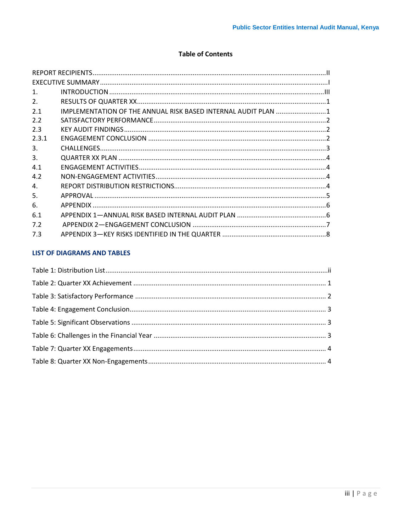#### **Table of Contents**

<span id="page-2-0"></span>

| $\mathbf{1}$ . |                                                               |  |
|----------------|---------------------------------------------------------------|--|
| 2.             |                                                               |  |
| 2.1            | IMPLEMENTATION OF THE ANNUAL RISK BASED INTERNAL AUDIT PLAN 1 |  |
| 2.2            |                                                               |  |
| 2.3            |                                                               |  |
| 2.3.1          |                                                               |  |
| 3.             |                                                               |  |
| 3.             |                                                               |  |
| 4.1            |                                                               |  |
| 4.2            |                                                               |  |
| 4.             |                                                               |  |
| 5.             |                                                               |  |
| 6.             |                                                               |  |
| 6.1            |                                                               |  |
| 7.2            |                                                               |  |
| 7.3            |                                                               |  |

#### **LIST OF DIAGRAMS AND TABLES**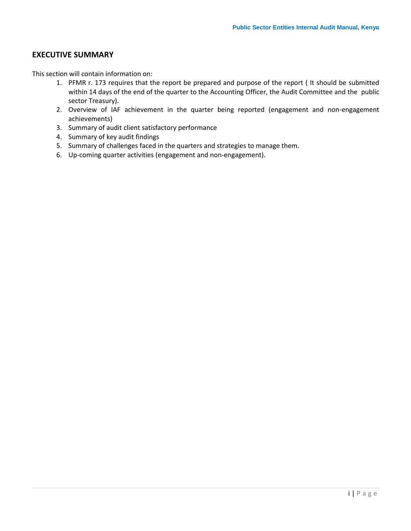### <span id="page-3-0"></span>**EXECUTIVE SUMMARY**

This section will contain information on:

- 1. PFMR r. 173 requires that the report be prepared and purpose of the report ( It should be submitted within 14 days of the end of the quarter to the Accounting Officer, the Audit Committee and the public sector Treasury).
- 2. Overview of IAF achievement in the quarter being reported (engagement and non-engagement achievements)
- 3. Summary of audit client satisfactory performance
- 4. Summary of key audit findings
- 5. Summary of challenges faced in the quarters and strategies to manage them.
- 6. Up-coming quarter activities (engagement and non-engagement).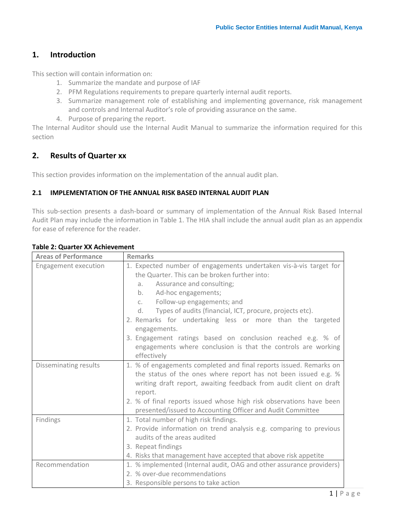## **1. Introduction**

This section will contain information on:

- 1. Summarize the mandate and purpose of IAF
- 2. PFM Regulations requirements to prepare quarterly internal audit reports.
- 3. Summarize management role of establishing and implementing governance, risk management and controls and Internal Auditor's role of providing assurance on the same.
- 4. Purpose of preparing the report.

The Internal Auditor should use the Internal Audit Manual to summarize the information required for this section

## <span id="page-4-0"></span>**2. Results of Quarter xx**

This section provides information on the implementation of the annual audit plan.

#### <span id="page-4-1"></span>**2.1 IMPLEMENTATION OF THE ANNUAL RISK BASED INTERNAL AUDIT PLAN**

This sub-section presents a dash-board or summary of implementation of the Annual Risk Based Internal Audit Plan may include the information in Table 1. The HIA shall include the annual audit plan as an appendix for ease of reference for the reader.

| <b>Areas of Performance</b> | <b>Remarks</b>                                                                                                                                                                                                                                                                                                                                                                                                                                                                                                                   |
|-----------------------------|----------------------------------------------------------------------------------------------------------------------------------------------------------------------------------------------------------------------------------------------------------------------------------------------------------------------------------------------------------------------------------------------------------------------------------------------------------------------------------------------------------------------------------|
| Engagement execution        | 1. Expected number of engagements undertaken vis-à-vis target for<br>the Quarter. This can be broken further into:<br>Assurance and consulting;<br>a.<br>Ad-hoc engagements;<br>b.<br>Follow-up engagements; and<br>C <sub>1</sub><br>Types of audits (financial, ICT, procure, projects etc).<br>d.<br>2. Remarks for undertaking less or more than the targeted<br>engagements.<br>3. Engagement ratings based on conclusion reached e.g. % of<br>engagements where conclusion is that the controls are working<br>effectively |
| Disseminating results       | 1. % of engagements completed and final reports issued. Remarks on<br>the status of the ones where report has not been issued e.g. %<br>writing draft report, awaiting feedback from audit client on draft<br>report.<br>2. % of final reports issued whose high risk observations have been<br>presented/issued to Accounting Officer and Audit Committee                                                                                                                                                                       |
| Findings                    | 1. Total number of high risk findings.<br>2. Provide information on trend analysis e.g. comparing to previous<br>audits of the areas audited<br>3. Repeat findings<br>4. Risks that management have accepted that above risk appetite                                                                                                                                                                                                                                                                                            |
| Recommendation              | 1. % implemented (Internal audit, OAG and other assurance providers)<br>2. % over-due recommendations<br>3. Responsible persons to take action                                                                                                                                                                                                                                                                                                                                                                                   |

#### <span id="page-4-2"></span>**Table 2: Quarter XX Achievement**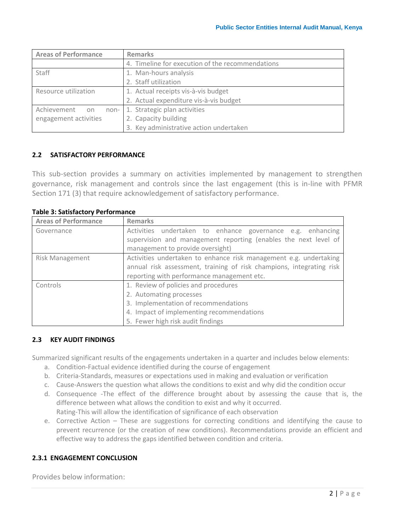| <b>Areas of Performance</b> | <b>Remarks</b>                                   |
|-----------------------------|--------------------------------------------------|
|                             | 4. Timeline for execution of the recommendations |
| <b>Staff</b>                | 1. Man-hours analysis                            |
|                             | 2. Staff utilization                             |
| Resource utilization        | 1. Actual receipts vis-à-vis budget              |
|                             | 2. Actual expenditure vis-à-vis budget           |
| Achievement<br>non-I<br>on  | 1. Strategic plan activities                     |
| engagement activities       | 2. Capacity building                             |
|                             | 3. Key administrative action undertaken          |

#### <span id="page-5-0"></span>**2.2 SATISFACTORY PERFORMANCE**

This sub-section provides a summary on activities implemented by management to strengthen governance, risk management and controls since the last engagement (this is in-line with PFMR Section 171 (3) that require acknowledgement of satisfactory performance.

#### <span id="page-5-3"></span>**Table 3: Satisfactory Performance**

| <b>Areas of Performance</b> | <b>Remarks</b>                                                                                                                                                                            |
|-----------------------------|-------------------------------------------------------------------------------------------------------------------------------------------------------------------------------------------|
| Governance                  | Activities undertaken to enhance governance e.g. enhancing<br>supervision and management reporting (enables the next level of<br>management to provide oversight)                         |
| <b>Risk Management</b>      | Activities undertaken to enhance risk management e.g. undertaking<br>annual risk assessment, training of risk champions, integrating risk<br>reporting with performance management etc.   |
| Controls                    | 1. Review of policies and procedures<br>2. Automating processes<br>3. Implementation of recommendations<br>4. Impact of implementing recommendations<br>5. Fewer high risk audit findings |

#### <span id="page-5-1"></span>**2.3 KEY AUDIT FINDINGS**

Summarized significant results of the engagements undertaken in a quarter and includes below elements:

- a. Condition-Factual evidence identified during the course of engagement
- b. Criteria-Standards, measures or expectations used in making and evaluation or verification
- c. Cause-Answers the question what allows the conditions to exist and why did the condition occur
- d. Consequence -The effect of the difference brought about by assessing the cause that is, the difference between what allows the condition to exist and why it occurred. Rating-This will allow the identification of significance of each observation
- e. Corrective Action These are suggestions for correcting conditions and identifying the cause to prevent recurrence (or the creation of new conditions). Recommendations provide an efficient and effective way to address the gaps identified between condition and criteria.

#### <span id="page-5-2"></span>**2.3.1 ENGAGEMENT CONCLUSION**

Provides below information: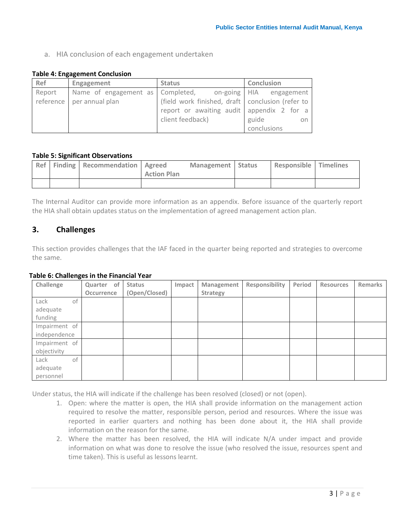a. HIA conclusion of each engagement undertaken

#### <span id="page-6-1"></span>**Table 4: Engagement Conclusion**

| Ref    | Engagement                                               | <b>Status</b>                                      | Conclusion  |
|--------|----------------------------------------------------------|----------------------------------------------------|-------------|
| Report | Name of engagement as Completed, on-going HIA engagement |                                                    |             |
|        | reference per annual plan                                | (field work finished, draft   conclusion (refer to |             |
|        |                                                          | report or awaiting audit appendix 2 for a          |             |
|        |                                                          | client feedback)                                   | guide<br>on |
|        |                                                          |                                                    | conclusions |

#### <span id="page-6-2"></span>**Table 5: Significant Observations**

|  | Ref   Finding   Recommendation   Agreed | <b>Action Plan</b> | Management Status | <b>Responsible Timelines</b> |  |
|--|-----------------------------------------|--------------------|-------------------|------------------------------|--|
|  |                                         |                    |                   |                              |  |

The Internal Auditor can provide more information as an appendix. Before issuance of the quarterly report the HIA shall obtain updates status on the implementation of agreed management action plan.

## <span id="page-6-0"></span>**3. Challenges**

This section provides challenges that the IAF faced in the quarter being reported and strategies to overcome the same.

#### <span id="page-6-3"></span>**Table 6: Challenges in the Financial Year**

| Challenge     | Quarter of | <b>Status</b> | Impact | Management      | Responsibility | Period | <b>Resources</b> | Remarks |
|---------------|------------|---------------|--------|-----------------|----------------|--------|------------------|---------|
|               | Occurrence | (Open/Closed) |        | <b>Strategy</b> |                |        |                  |         |
| Lack<br>οf    |            |               |        |                 |                |        |                  |         |
| adequate      |            |               |        |                 |                |        |                  |         |
| funding       |            |               |        |                 |                |        |                  |         |
| Impairment of |            |               |        |                 |                |        |                  |         |
| independence  |            |               |        |                 |                |        |                  |         |
| Impairment of |            |               |        |                 |                |        |                  |         |
| objectivity   |            |               |        |                 |                |        |                  |         |
| of<br>Lack    |            |               |        |                 |                |        |                  |         |
| adequate      |            |               |        |                 |                |        |                  |         |
| personnel     |            |               |        |                 |                |        |                  |         |

Under status, the HIA will indicate if the challenge has been resolved (closed) or not (open).

- 1. Open: where the matter is open, the HIA shall provide information on the management action required to resolve the matter, responsible person, period and resources. Where the issue was reported in earlier quarters and nothing has been done about it, the HIA shall provide information on the reason for the same.
- 2. Where the matter has been resolved, the HIA will indicate N/A under impact and provide information on what was done to resolve the issue (who resolved the issue, resources spent and time taken). This is useful as lessons learnt.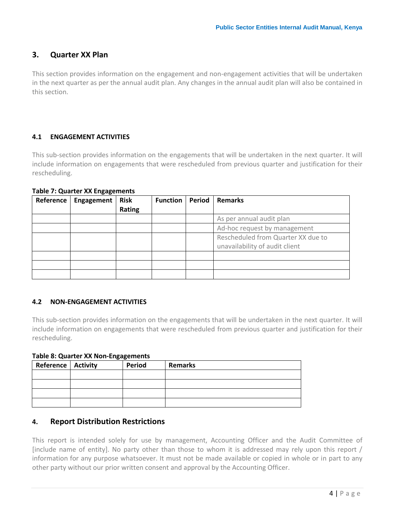## <span id="page-7-0"></span>**3. Quarter XX Plan**

This section provides information on the engagement and non-engagement activities that will be undertaken in the next quarter as per the annual audit plan. Any changes in the annual audit plan will also be contained in this section.

#### <span id="page-7-1"></span>**4.1 ENGAGEMENT ACTIVITIES**

This sub-section provides information on the engagements that will be undertaken in the next quarter. It will include information on engagements that were rescheduled from previous quarter and justification for their rescheduling.

| Reference | Engagement | <b>Risk</b> | <b>Function</b> | Period | <b>Remarks</b>                     |
|-----------|------------|-------------|-----------------|--------|------------------------------------|
|           |            | Rating      |                 |        |                                    |
|           |            |             |                 |        | As per annual audit plan           |
|           |            |             |                 |        | Ad-hoc request by management       |
|           |            |             |                 |        | Rescheduled from Quarter XX due to |
|           |            |             |                 |        | unavailability of audit client     |
|           |            |             |                 |        |                                    |
|           |            |             |                 |        |                                    |
|           |            |             |                 |        |                                    |

#### <span id="page-7-4"></span>**Table 7: Quarter XX Engagements**

#### <span id="page-7-2"></span>**4.2 NON-ENGAGEMENT ACTIVITIES**

This sub-section provides information on the engagements that will be undertaken in the next quarter. It will include information on engagements that were rescheduled from previous quarter and justification for their rescheduling.

#### <span id="page-7-5"></span>**Table 8: Quarter XX Non-Engagements**

| <b>Reference   Activity</b> | Period | <b>Remarks</b> |
|-----------------------------|--------|----------------|
|                             |        |                |
|                             |        |                |
|                             |        |                |
|                             |        |                |

#### <span id="page-7-3"></span>**4. Report Distribution Restrictions**

This report is intended solely for use by management, Accounting Officer and the Audit Committee of [include name of entity]. No party other than those to whom it is addressed may rely upon this report / information for any purpose whatsoever. It must not be made available or copied in whole or in part to any other party without our prior written consent and approval by the Accounting Officer.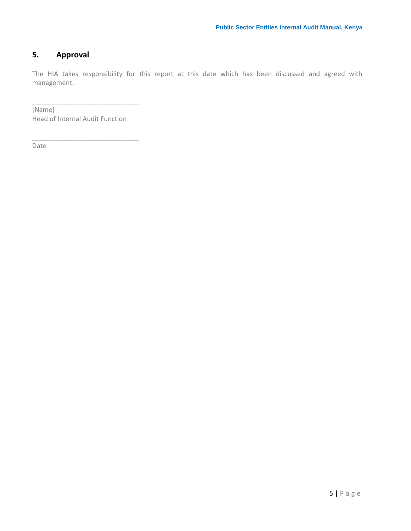## <span id="page-8-0"></span>**5. Approval**

The HIA takes responsibility for this report at this date which has been discussed and agreed with management.

[Name] Head of Internal Audit Function

\_\_\_\_\_\_\_\_\_\_\_\_\_\_\_\_\_\_\_\_\_\_\_\_\_\_\_\_\_

\_\_\_\_\_\_\_\_\_\_\_\_\_\_\_\_\_\_\_\_\_\_\_\_\_\_\_\_\_

Date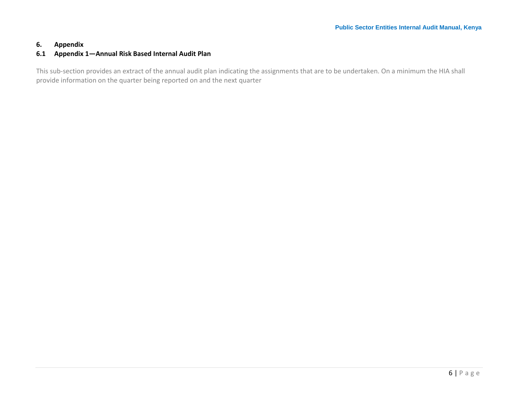## **6. Appendix**

#### **6.1 Appendix 1—Annual Risk Based Internal Audit Plan**

<span id="page-9-1"></span><span id="page-9-0"></span>This sub-section provides an extract of the annual audit plan indicating the assignments that are to be undertaken. On a minimum the HIA shall provide information on the quarter being reported on and the next quarter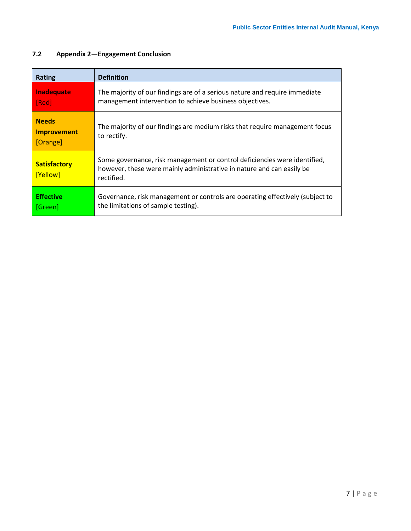| <b>Rating</b>                                  | <b>Definition</b>                                                                                                                                                |
|------------------------------------------------|------------------------------------------------------------------------------------------------------------------------------------------------------------------|
| Inadequate<br>[Red]                            | The majority of our findings are of a serious nature and require immediate<br>management intervention to achieve business objectives.                            |
| <b>Needs</b><br><b>Improvement</b><br>[Orange] | The majority of our findings are medium risks that require management focus<br>to rectify.                                                                       |
| <b>Satisfactory</b><br>[Yellow]                | Some governance, risk management or control deficiencies were identified,<br>however, these were mainly administrative in nature and can easily be<br>rectified. |
| <b>Effective</b><br>[Green]                    | Governance, risk management or controls are operating effectively (subject to<br>the limitations of sample testing).                                             |

## <span id="page-10-0"></span>**7.2 Appendix 2—Engagement Conclusion**